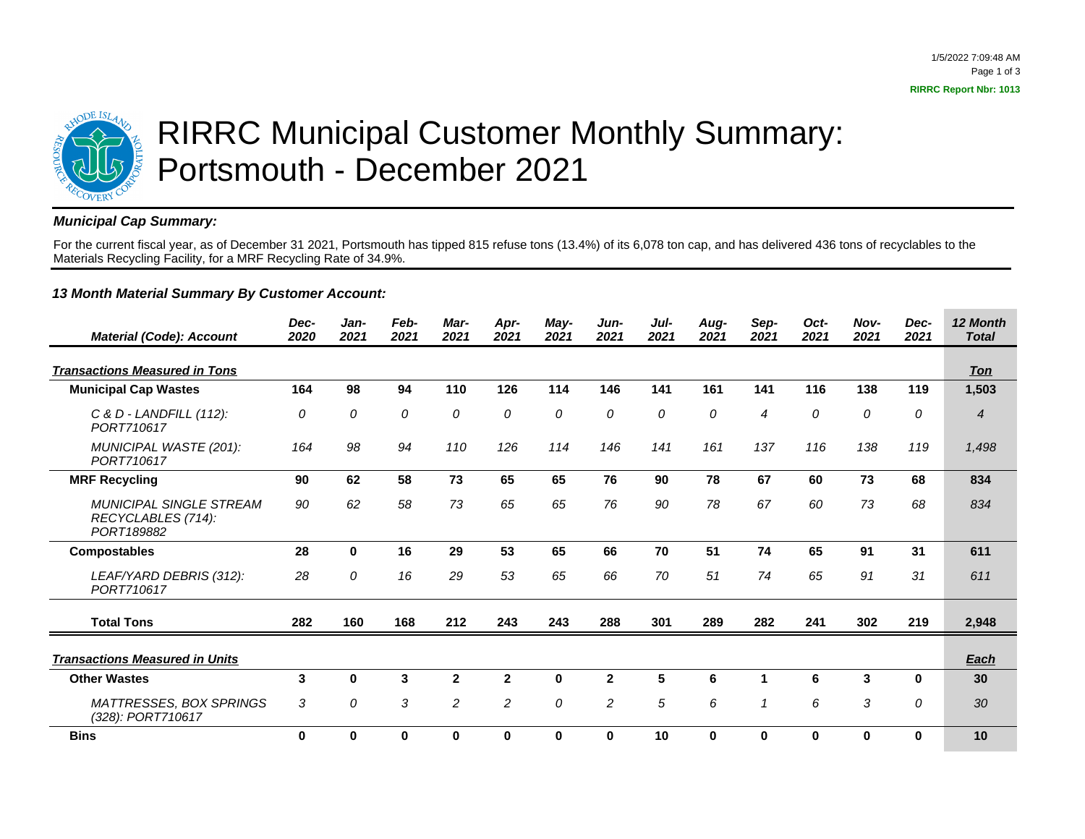

## RIRRC Municipal Customer Monthly Summary: Portsmouth - December 2021

## **Municipal Cap Summary:**

For the current fiscal year, as of December 31 2021, Portsmouth has tipped 815 refuse tons (13.4%) of its 6,078 ton cap, and has delivered 436 tons of recyclables to the Materials Recycling Facility, for a MRF Recycling Rate of 34.9%.

## **13 Month Material Summary By Customer Account:**

| <b>Material (Code): Account</b>                                    | Dec-<br>2020 | Jan-<br>2021 | Feb-<br>2021 | Mar-<br>2021 | Apr-<br>2021   | May-<br>2021 | Jun-<br>2021   | Jul-<br>2021    | Aug-<br>2021 | Sep-<br>2021   | Oct-<br>2021 | Nov-<br>2021 | Dec-<br>2021 | 12 Month<br><b>Total</b> |
|--------------------------------------------------------------------|--------------|--------------|--------------|--------------|----------------|--------------|----------------|-----------------|--------------|----------------|--------------|--------------|--------------|--------------------------|
| <b>Transactions Measured in Tons</b>                               |              |              |              |              |                |              |                |                 |              |                |              |              |              | <b>Ton</b>               |
| <b>Municipal Cap Wastes</b>                                        | 164          | 98           | 94           | 110          | 126            | 114          | 146            | 141             | 161          | 141            | 116          | 138          | 119          | 1,503                    |
| C & D - LANDFILL (112):<br>PORT710617                              | 0            | 0            | 0            | 0            | 0              | 0            | 0              | 0               | 0            | $\overline{4}$ | 0            | 0            | 0            | $\overline{4}$           |
| MUNICIPAL WASTE (201):<br>PORT710617                               | 164          | 98           | 94           | 110          | 126            | 114          | 146            | 141             | 161          | 137            | 116          | 138          | 119          | 1.498                    |
| <b>MRF Recycling</b>                                               | 90           | 62           | 58           | 73           | 65             | 65           | 76             | 90              | 78           | 67             | 60           | 73           | 68           | 834                      |
| <b>MUNICIPAL SINGLE STREAM</b><br>RECYCLABLES (714):<br>PORT189882 | 90           | 62           | 58           | 73           | 65             | 65           | 76             | 90              | 78           | 67             | 60           | 73           | 68           | 834                      |
| <b>Compostables</b>                                                | 28           | $\bf{0}$     | 16           | 29           | 53             | 65           | 66             | 70              | 51           | 74             | 65           | 91           | 31           | 611                      |
| LEAF/YARD DEBRIS (312):<br>PORT710617                              | 28           | 0            | 16           | 29           | 53             | 65           | 66             | 70              | 51           | 74             | 65           | 91           | 31           | 611                      |
| <b>Total Tons</b>                                                  | 282          | 160          | 168          | 212          | 243            | 243          | 288            | 301             | 289          | 282            | 241          | 302          | 219          | 2,948                    |
| <b>Transactions Measured in Units</b>                              |              |              |              |              |                |              |                |                 |              |                |              |              |              | Each                     |
| <b>Other Wastes</b>                                                | 3            | $\bf{0}$     | 3            | $\mathbf{2}$ | $\mathbf{2}$   | $\bf{0}$     | $\mathbf{2}$   | $5\phantom{.0}$ | 6            | 1              | 6            | 3            | $\bf{0}$     | 30                       |
| MATTRESSES, BOX SPRINGS<br>(328): PORT710617                       | 3            | 0            | 3            | 2            | $\overline{c}$ | 0            | $\overline{c}$ | 5               | 6            | $\mathcal I$   | 6            | 3            | 0            | 30                       |
| <b>Bins</b>                                                        | $\bf{0}$     | $\bf{0}$     | 0            | $\bf{0}$     | $\bf{0}$       | $\bf{0}$     | 0              | 10              | 0            | $\bf{0}$       | 0            | 0            | 0            | 10                       |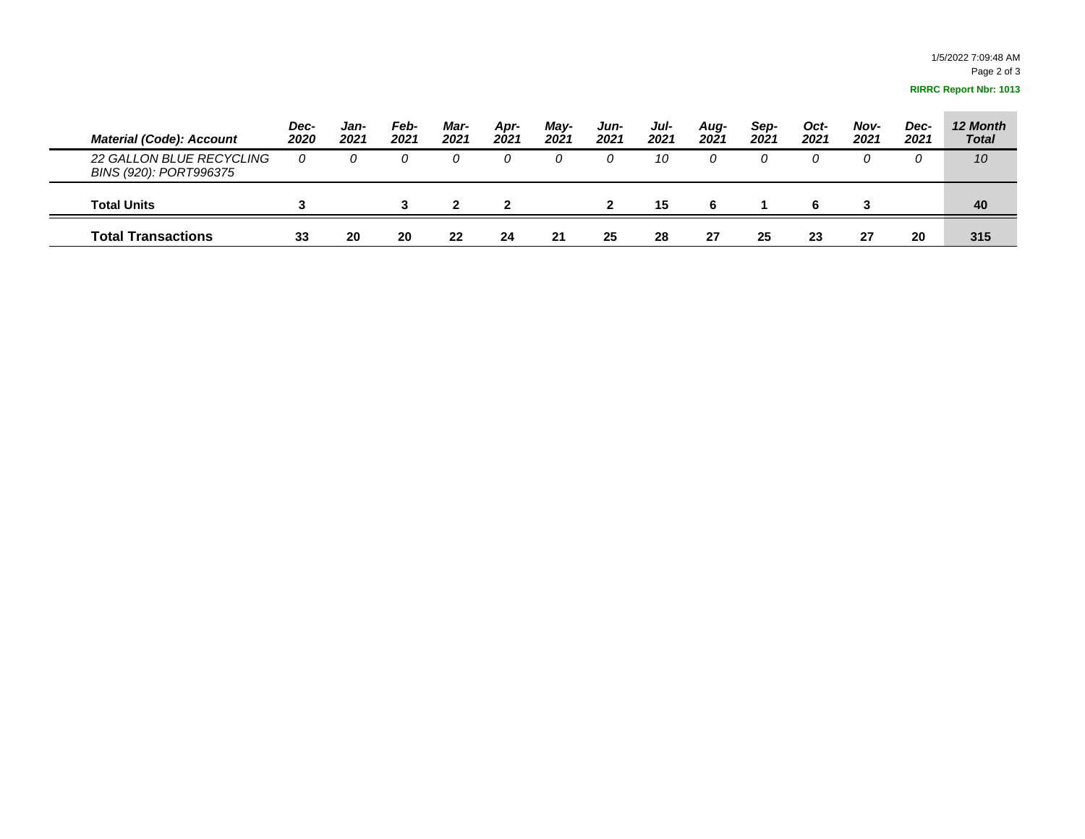| <b>Material (Code): Account</b>                    | Dec-<br>2020 | Jan-<br>2021 | Feb-<br>2021 | Mar-<br>2021 | Apr-<br>2021 | May-<br>2021 | Jun-<br>2021 | Jul-<br>2021 | Aug-<br>2021 | Sep-<br>2021 | Oct-<br>2021 | Nov-<br>2021 | Dec-<br>2021 | 12 Month<br><b>Total</b> |
|----------------------------------------------------|--------------|--------------|--------------|--------------|--------------|--------------|--------------|--------------|--------------|--------------|--------------|--------------|--------------|--------------------------|
| 22 GALLON BLUE RECYCLING<br>BINS (920): PORT996375 |              |              |              |              |              |              |              | 10           |              | O            |              |              |              | 10                       |
| <b>Total Units</b>                                 |              |              |              |              |              |              |              | 15           | 6            |              | 6            |              |              | 40                       |
| <b>Total Transactions</b>                          | 33           | 20           | 20           | 22           | 24           | 21           | 25           | 28           | 27           | 25           | 23           | 27           | 20           | 315                      |